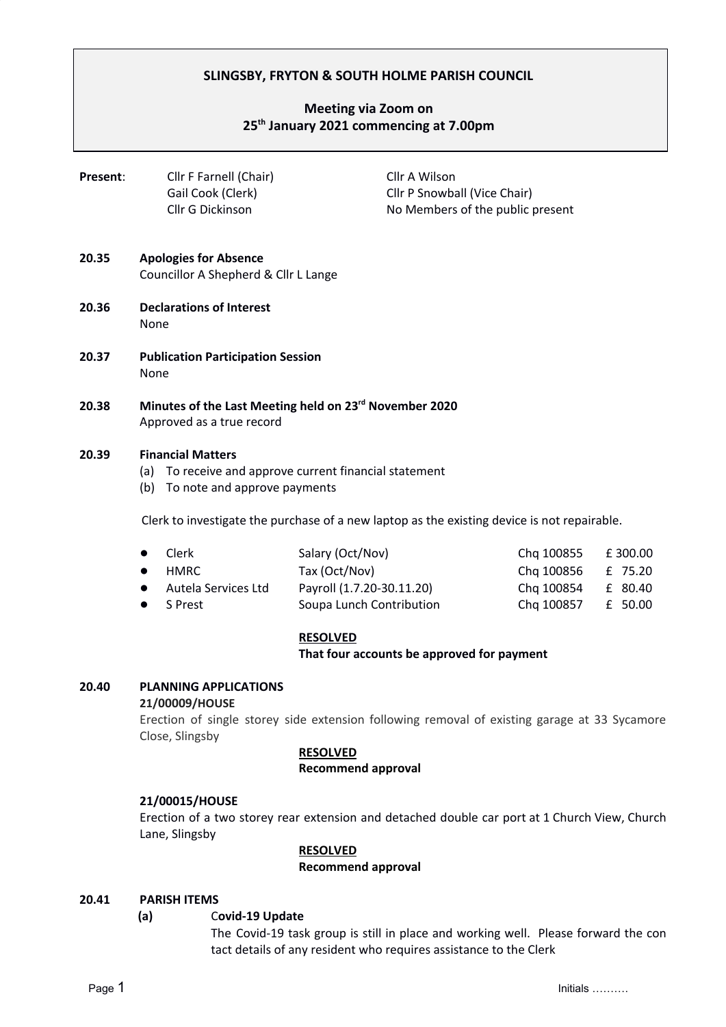# **SLINGSBY, FRYTON & SOUTH HOLME PARISH COUNCIL**

# **Meeting via Zoom on 25th January 2021 commencing at 7.00pm**

| Present: | Cllr F Farnell (Chair)                | Cllr A Wilson                                                    |  |  |
|----------|---------------------------------------|------------------------------------------------------------------|--|--|
|          | Gail Cook (Clerk)<br>Cllr G Dickinson | Cllr P Snowball (Vice Chair)<br>No Members of the public present |  |  |
| 20.35    | Anologies for Absence                 |                                                                  |  |  |

- **20.35 Apologies for Absence** Councillor A Shepherd & Cllr L Lange
- **20.36 Declarations of Interest** None
- **20.37 Publication Participation Session** None
- **20.38 Minutes of the Last Meeting held on 23 rd November 2020** Approved as a true record

# **20.39 Financial Matters**

- (a) To receive and approve current financial statement
- (b) To note and approve payments

Clerk to investigate the purchase of a new laptop as the existing device is not repairable.

| $\bullet$ Clerk       | Salary (Oct/Nov)          | Chg 100855 £ 300.00 |  |
|-----------------------|---------------------------|---------------------|--|
| $\bullet$ HMRC        | Tax (Oct/Nov)             | Chq 100856 £ 75.20  |  |
| • Autela Services Ltd | Payroll (1.7.20-30.11.20) | Chq 100854 £ 80.40  |  |
| $\bullet$ S Prest     | Soupa Lunch Contribution  | Chq 100857 £ 50.00  |  |

# **RESOLVED**

**That four accounts be approved for payment**

# **20.40 PLANNING APPLICATIONS**

#### **21/00009/HOUSE**

Erection of single storey side extension following removal of existing garage at 33 Sycamore Close, Slingsby

# **RESOLVED**

# **Recommend approval**

# **21/00015/HOUSE**

Erection of a two storey rear extension and detached double car port at 1 Church View, Church Lane, Slingsby

# **RESOLVED**

# **Recommend approval**

# **20.41 PARISH ITEMS**

# **(a)** C**ovid-19 Update**

The Covid-19 task group is still in place and working well. Please forward the con tact details of any resident who requires assistance to the Clerk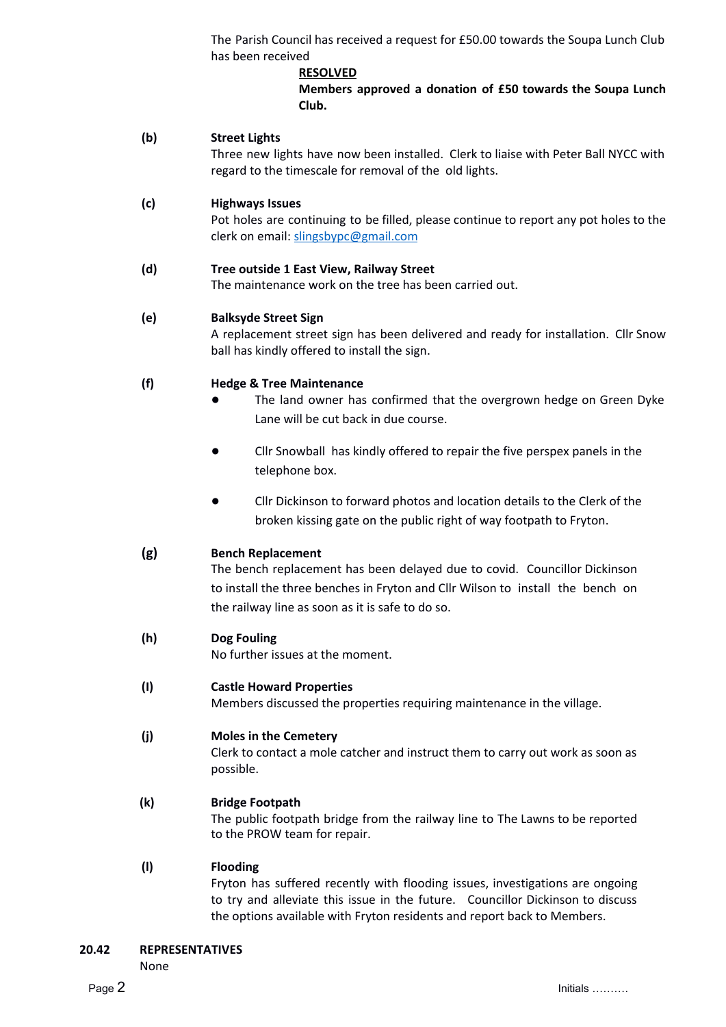The Parish Council has received a request for £50.00 towards the Soupa Lunch Club has been received

# **RESOLVED**

**Members approved a donation of £50 towards the Soupa Lunch Club.**

# **(b) Street Lights**

Three new lights have now been installed. Clerk to liaise with Peter Ball NYCC with regard to the timescale for removal of the old lights.

# **(c) Highways Issues**

Pot holes are continuing to be filled, please continue to report any pot holes to the clerk on email: slingsbypc@gmail.com

# **(d) Tree outside 1 East View, Railway Street**

The maintenance work on the tree has been carried out.

# **(e) Balksyde Street Sign**

A replacement street sign has been delivered and ready for installation. Cllr Snow ball has kindly offered to install the sign.

# **(f) Hedge & Tree Maintenance**

- The land owner has confirmed that the overgrown hedge on Green Dyke Lane will be cut back in due course.
- **●** Cllr Snowball has kindly offered to repair the five perspex panels in the telephone box.
- **●** Cllr Dickinson to forward photos and location details to the Clerk of the broken kissing gate on the public right of way footpath to Fryton.

# **(g) Bench Replacement**

The bench replacement has been delayed due to covid. Councillor Dickinson to install the three benches in Fryton and Cllr Wilson to install the bench on the railway line as soon as it is safe to do so.

# **(h) Dog Fouling**

No further issues at the moment.

# **(I) Castle Howard Properties**

Members discussed the properties requiring maintenance in the village.

# **(j) Moles in the Cemetery**

Clerk to contact a mole catcher and instruct them to carry out work as soon as possible.

# **(k) Bridge Footpath**

The public footpath bridge from the railway line to The Lawns to be reported to the PROW team for repair.

# **(l) Flooding**

Fryton has suffered recently with flooding issues, investigations are ongoing to try and alleviate this issue in the future. Councillor Dickinson to discuss the options available with Fryton residents and report back to Members.

None